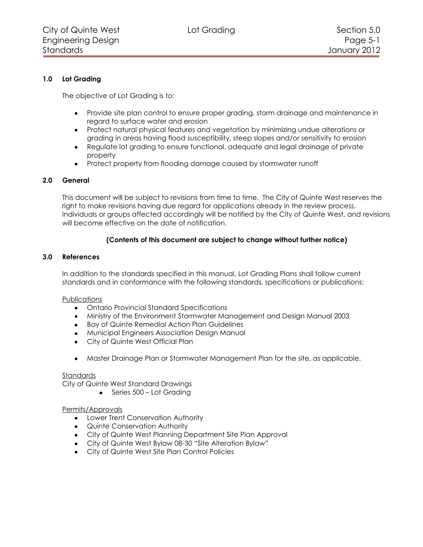# **1.0 Lot Grading**

The objective of Lot Grading is to:

- Provide site plan control to ensure proper grading, storm drainage and maintenance in regard to surface water and erosion
- Protect natural physical features and vegetation by minimizing undue alterations or grading in areas having flood susceptibility, steep slopes and/or sensitivity to erosion
- Regulate lot grading to ensure functional, adequate and legal drainage of private property
- Protect property from flooding damage caused by stormwater runoff

### **2.0 General**

This document will be subject to revisions from time to time. The City of Quinte West reserves the right to make revisions having due regard for applications already in the review process. Individuals or groups affected accordingly will be notified by the City of Quinte West, and revisions will become effective on the date of notification.

# **(Contents of this document are subject to change without further notice)**

### **3.0 References**

In addition to the standards specified in this manual, Lot Grading Plans shall follow current standards and in conformance with the following standards, specifications or publications:

### **Publications**

- Ontario Provincial Standard Specifications
- Ministry of the Environment Stormwater Management and Design Manual 2003
- Bay of Quinte Remedial Action Plan Guidelines
- Municipal Engineers Association Design Manual
- City of Quinte West Official Plan
- Master Drainage Plan or Stormwater Management Plan for the site, as applicable.

### **Standards**

City of Quinte West Standard Drawings

 $\bullet$  Series 500 – Lot Grading

#### Permits/Approvals

- Lower Trent Conservation Authority
- Quinte Conservation Authority
- City of Quinte West Planning Department Site Plan Approval
- City of Quinte West Bylaw 08-30 "Site Alteration Bylaw"
- City of Quinte West Site Plan Control Policies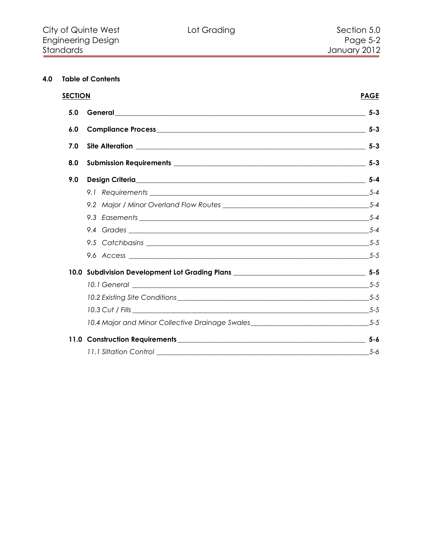# **4.0 Table of Contents**

| <b>SECTION</b> | <b>PAGE</b>                                                                         |         |
|----------------|-------------------------------------------------------------------------------------|---------|
| 5.0            |                                                                                     | $5 - 3$ |
| 6.0            |                                                                                     |         |
| 7.0            |                                                                                     |         |
| 8.0            |                                                                                     |         |
| 9.0            |                                                                                     |         |
|                |                                                                                     |         |
|                |                                                                                     |         |
|                |                                                                                     |         |
|                |                                                                                     |         |
|                |                                                                                     |         |
|                |                                                                                     |         |
|                |                                                                                     |         |
|                |                                                                                     |         |
|                |                                                                                     |         |
|                |                                                                                     |         |
|                | 10.4 Major and Minor Collective Drainage Swales_________________________________5-5 |         |
|                |                                                                                     |         |
|                | 11.1 Siltation Control                                                              | 5-6     |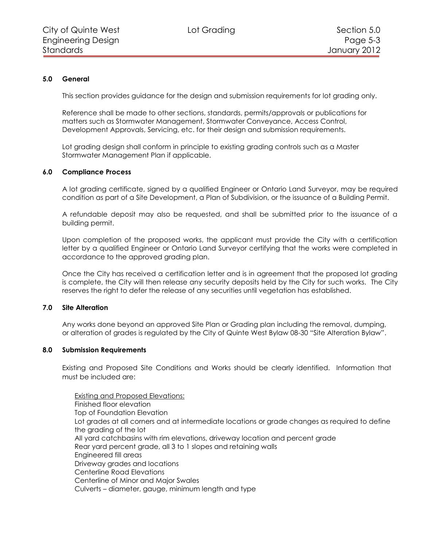# **5.0 General**

<span id="page-2-0"></span>This section provides guidance for the design and submission requirements for lot grading only.

Reference shall be made to other sections, standards, permits/approvals or publications for matters such as Stormwater Management, Stormwater Conveyance, Access Control, Development Approvals, Servicing, etc. for their design and submission requirements.

Lot grading design shall conform in principle to existing grading controls such as a Master Stormwater Management Plan if applicable.

### **6.0 Compliance Process**

<span id="page-2-1"></span>A lot grading certificate, signed by a qualified Engineer or Ontario Land Surveyor, may be required condition as part of a Site Development, a Plan of Subdivision, or the issuance of a Building Permit.

A refundable deposit may also be requested, and shall be submitted prior to the issuance of a building permit.

Upon completion of the proposed works, the applicant must provide the City with a certification letter by a qualified Engineer or Ontario Land Surveyor certifying that the works were completed in accordance to the approved grading plan.

Once the City has received a certification letter and is in agreement that the proposed lot grading is complete, the City will then release any security deposits held by the City for such works. The City reserves the right to defer the release of any securities until vegetation has established.

### <span id="page-2-2"></span>**7.0 Site Alteration**

Any works done beyond an approved Site Plan or Grading plan including the removal, dumping, or alteration of grades is regulated by the City of Quinte West Bylaw 08-30 "Site Alteration Bylaw".

### <span id="page-2-3"></span>**8.0 Submission Requirements**

Existing and Proposed Site Conditions and Works should be clearly identified. Information that must be included are:

Existing and Proposed Elevations:

Finished floor elevation Top of Foundation Elevation Lot grades at all corners and at intermediate locations or grade changes as required to define the grading of the lot All yard catchbasins with rim elevations, driveway location and percent grade Rear yard percent grade, all 3 to 1 slopes and retaining walls Engineered fill areas Driveway grades and locations Centerline Road Elevations Centerline of Minor and Major Swales Culverts – diameter, gauge, minimum length and type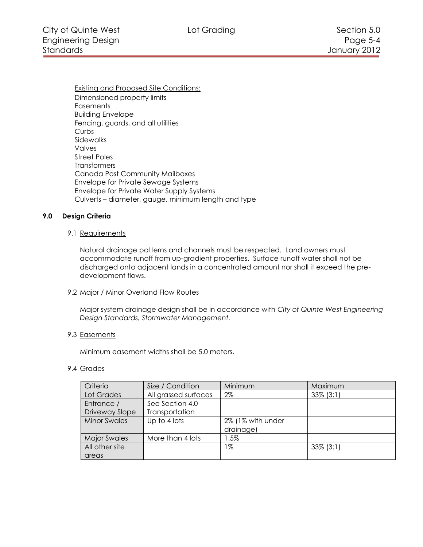Existing and Proposed Site Conditions: Dimensioned property limits **Easements** Building Envelope Fencing, guards, and all utilities Curbs Sidewalks Valves Street Poles **Transformers** Canada Post Community Mailboxes Envelope for Private Sewage Systems Envelope for Private Water Supply Systems Culverts – diameter, gauge, minimum length and type

# <span id="page-3-0"></span>**9.0 Design Criteria**

#### <span id="page-3-1"></span>9.1 Requirements

Natural drainage patterns and channels must be respected. Land owners must accommodate runoff from up-gradient properties. Surface runoff water shall not be discharged onto adjacent lands in a concentrated amount nor shall it exceed the predevelopment flows.

#### <span id="page-3-2"></span>9.2 Major / Minor Overland Flow Routes

Major system drainage design shall be in accordance with *City of Quinte West Engineering Design Standards, Stormwater Management.*

#### <span id="page-3-3"></span>9.3 Easements

Minimum easement widths shall be 5.0 meters.

#### <span id="page-3-4"></span>9.4 Grades

| Criteria            | Size / Condition     | Minimum           | Maximum      |
|---------------------|----------------------|-------------------|--------------|
| Lot Grades          | All grassed surfaces | $2\%$             | $33\%$ (3:1) |
| Entrance /          | See Section 4.0      |                   |              |
| Driveway Slope      | Transportation       |                   |              |
| <b>Minor Swales</b> | Up to 4 lots         | 2% (1% with under |              |
|                     |                      | drainage)         |              |
| <b>Major Swales</b> | More than 4 lots     | l.5%              |              |
| All other site      |                      | 1%                | $33\%$ (3:1) |
| areas               |                      |                   |              |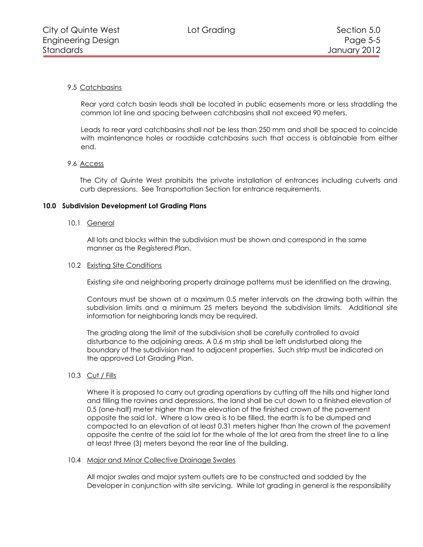# <span id="page-4-0"></span>9.5 Catchbasins

Rear yard catch basin leads shall be located in public easements more or less straddling the common lot line and spacing between catchbasins shall not exceed 90 meters.

Leads to rear yard catchbasins shall not be less than 250 mm and shall be spaced to coincide with maintenance holes or roadside catchbasins such that access is obtainable from either end.

### <span id="page-4-1"></span>9.6 Access

The City of Quinte West prohibits the private installation of entrances including culverts and curb depressions. See Transportation Section for entrance requirements.

#### <span id="page-4-2"></span>**10.0 Subdivision Development Lot Grading Plans**

#### <span id="page-4-3"></span>10.1 General

All lots and blocks within the subdivision must be shown and correspond in the same manner as the Registered Plan.

#### <span id="page-4-4"></span>10.2 Existing Site Conditions

Existing site and neighboring property drainage patterns must be identified on the drawing.

Contours must be shown at a maximum 0.5 meter intervals on the drawing both within the subdivision limits and a minimum 25 meters beyond the subdivision limits. Additional site information for neighboring lands may be required.

The grading along the limit of the subdivision shall be carefully controlled to avoid disturbance to the adjoining areas. A 0.6 m strip shall be left undisturbed along the boundary of the subdivision next to adjacent properties. Such strip must be indicated on the approved Lot Grading Plan.

### <span id="page-4-5"></span>10.3 Cut / Fills

Where it is proposed to carry out grading operations by cutting off the hills and higher land and filling the ravines and depressions, the land shall be cut down to a finished elevation of 0.5 (one-half) meter higher than the elevation of the finished crown of the pavement opposite the said lot. Where a low area is to be filled, the earth is to be dumped and compacted to an elevation of at least 0.31 meters higher than the crown of the pavement opposite the centre of the said lot for the whole of the lot area from the street line to a line at least three (3) meters beyond the rear line of the building.

#### <span id="page-4-6"></span>10.4 Major and Minor Collective Drainage Swales

All major swales and major system outlets are to be constructed and sodded by the Developer in conjunction with site servicing. While lot grading in general is the responsibility